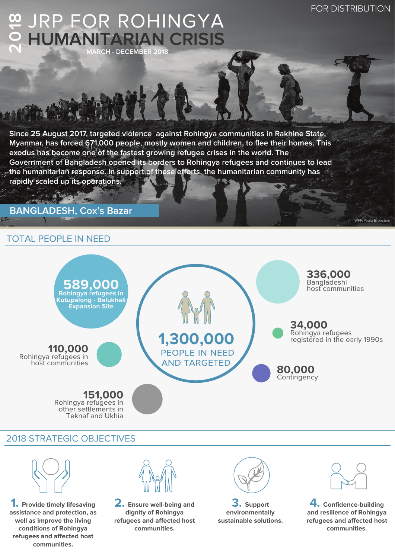WFP/Paula Bronstein

#### **2018 HUMANITARIAN CRISIS** JRP FOR ROHINGYA **MARCH - DECEMBER 2018**

**Since 25 August 2017, targeted violence against Rohingya communities in Rakhine State, Myanmar, has forced 671,000 people, mostly women and children, to flee their homes. This exodus has become one of the fastest growing refugee crises in the world. The Government of Bangladesh opened its borders to Rohingya refugees and continues to lead**  the humanitarian response. In support of these efforts, the humanitarian community has **rapidly scaled up its operations.**

# **BANGLADESH, Cox's Bazar**

# TOTAL PEOPLE IN NEED



# 2018 STRATEGIC OBJECTIVES



**1. Provide timely lifesaving assistance and protection, as well as improve the living conditions of Rohingya refugees and affected host communities.**

**2. Ensure well-being and dignity of Rohingya refugees and affected host communities.**



**3. Support environmentally sustainable solutions.**



**4. Confidence-building and resilience of Rohingya refugees and affected host communities.**